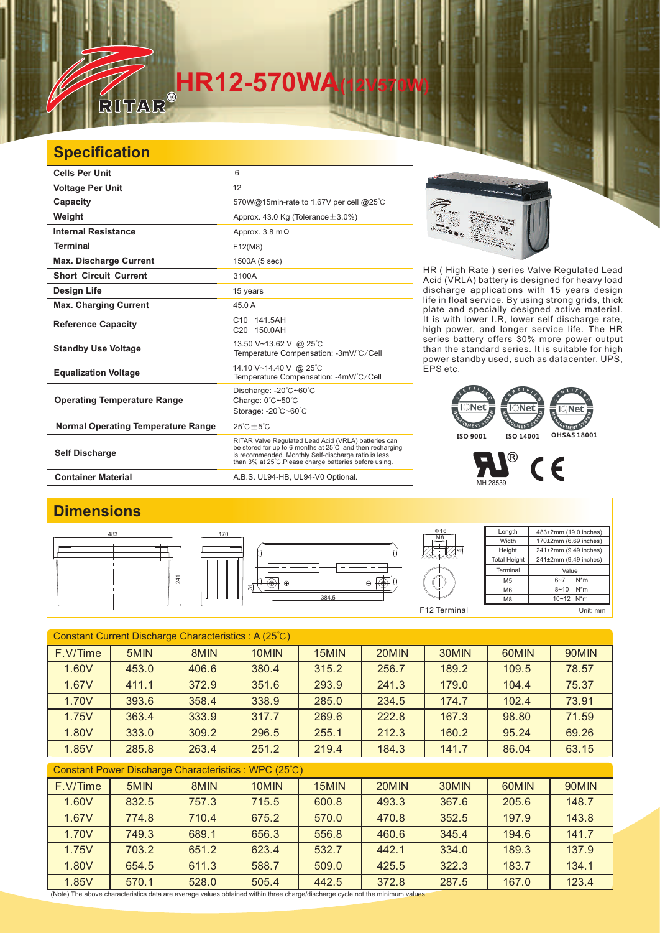# **HR12-570WA**

#### **Specification**

 $\sqrt{1}$ 

| <b>Cells Per Unit</b>                     | 6                                                                                                                                                                                                                                  |
|-------------------------------------------|------------------------------------------------------------------------------------------------------------------------------------------------------------------------------------------------------------------------------------|
| <b>Voltage Per Unit</b>                   | 12                                                                                                                                                                                                                                 |
| Capacity                                  | 570W@15min-rate to 1.67V per cell @25°C                                                                                                                                                                                            |
| Weight                                    | Approx. 43.0 Kg (Tolerance $\pm$ 3.0%)                                                                                                                                                                                             |
| <b>Internal Resistance</b>                | Approx. 3.8 m $\Omega$                                                                                                                                                                                                             |
| <b>Terminal</b>                           | F12(M8)                                                                                                                                                                                                                            |
| <b>Max. Discharge Current</b>             | 1500A (5 sec)                                                                                                                                                                                                                      |
| <b>Short Circuit Current</b>              | 3100A                                                                                                                                                                                                                              |
| Design Life                               | 15 years                                                                                                                                                                                                                           |
| <b>Max. Charging Current</b>              | 45.0 A                                                                                                                                                                                                                             |
| <b>Reference Capacity</b>                 | C <sub>10</sub> 141.5AH<br>C20 150.0AH                                                                                                                                                                                             |
| <b>Standby Use Voltage</b>                | 13.50 V~13.62 V @ 25°C<br>Temperature Compensation: -3mV/°C/Cell                                                                                                                                                                   |
| <b>Equalization Voltage</b>               | 14.10 V~14.40 V @ 25°C<br>Temperature Compensation: -4mV/°C/Cell                                                                                                                                                                   |
| <b>Operating Temperature Range</b>        | Discharge: - 20°C~60°C<br>Charge: 0°C~50°C<br>Storage: -20°C~60°C                                                                                                                                                                  |
| <b>Normal Operating Temperature Range</b> | $25^{\circ}$ C + $5^{\circ}$ C                                                                                                                                                                                                     |
| <b>Self Discharge</b>                     | RITAR Valve Regulated Lead Acid (VRLA) batteries can<br>be stored for up to 6 months at 25°C and then recharging<br>is recommended. Monthly Self-discharge ratio is less<br>than 3% at 25°C. Please charge batteries before using. |
| <b>Container Material</b>                 | A.B.S. UL94-HB, UL94-V0 Optional.                                                                                                                                                                                                  |



HR ( High Rate ) series Valve Regulated Lead Acid (VRLA) battery is designed for heavy load discharge applications with 15 years design life in float service. By using strong grids, and specially designed active material. It is with lower I.R, lower self discharge rate, high power, and longer service life. The HR series battery offers 30% more power output than the standard series. It is suitable for high power standby used, such as datacenter, UPS, EPS etc. thick plate

### MENT EMENT **ISO 9001 ISO 14001 OHSAS 18001**



#### **Dimensions**



| Constant Current Discharge Characteristics: A (25°C)  |       |       |       |       |       |       |       |       |  |
|-------------------------------------------------------|-------|-------|-------|-------|-------|-------|-------|-------|--|
| F.V/Time                                              | 5MIN  | 8MIN  | 10MIN | 15MIN | 20MIN | 30MIN | 60MIN | 90MIN |  |
| 1.60V                                                 | 453.0 | 406.6 | 380.4 | 315.2 | 256.7 | 189.2 | 109.5 | 78.57 |  |
| 1.67V                                                 | 411.1 | 372.9 | 351.6 | 293.9 | 241.3 | 179.0 | 104.4 | 75.37 |  |
| 1.70V                                                 | 393.6 | 358.4 | 338.9 | 285.0 | 234.5 | 174.7 | 102.4 | 73.91 |  |
| 1.75V                                                 | 363.4 | 333.9 | 317.7 | 269.6 | 222.8 | 167.3 | 98.80 | 71.59 |  |
| 1.80V                                                 | 333.0 | 309.2 | 296.5 | 255.1 | 212.3 | 160.2 | 95.24 | 69.26 |  |
| 1.85V                                                 | 285.8 | 263.4 | 251.2 | 219.4 | 184.3 | 141.7 | 86.04 | 63.15 |  |
| Constant Power Discharge Characteristics : WPC (25°C) |       |       |       |       |       |       |       |       |  |
| F.V/Time                                              | 5MIN  | 8MIN  | 10MIN | 15MIN | 20MIN | 30MIN | 60MIN | 90MIN |  |
| 1.60V                                                 | 832.5 | 757.3 | 715.5 | 600.8 | 493.3 | 367.6 | 205.6 | 148.7 |  |
| 1.67V                                                 | 774.8 | 710.4 | 675.2 | 570.0 | 470.8 | 352.5 | 197.9 | 143.8 |  |
| 1.70V                                                 | 749.3 | 689.1 | 656.3 | 556.8 | 460.6 | 345.4 | 194.6 | 141.7 |  |

1.75V | 703.2 | 651.2 | 623.4 | 532.7 | 442.1 | 334.0 | 189.3 | 137.9 1.80V | 654.5 | 611.3 | 588.7 | 509.0 | 425.5 | 322.3 | 183.7 | 134.1 1.85V | 570.1 | 528.0 | 505.4 | 442.5 | 372.8 | 287.5 | 167.0 | 123.4

(Note) The above characteristics data are average values obtained within three charge/discharge cycle not the minimum values.